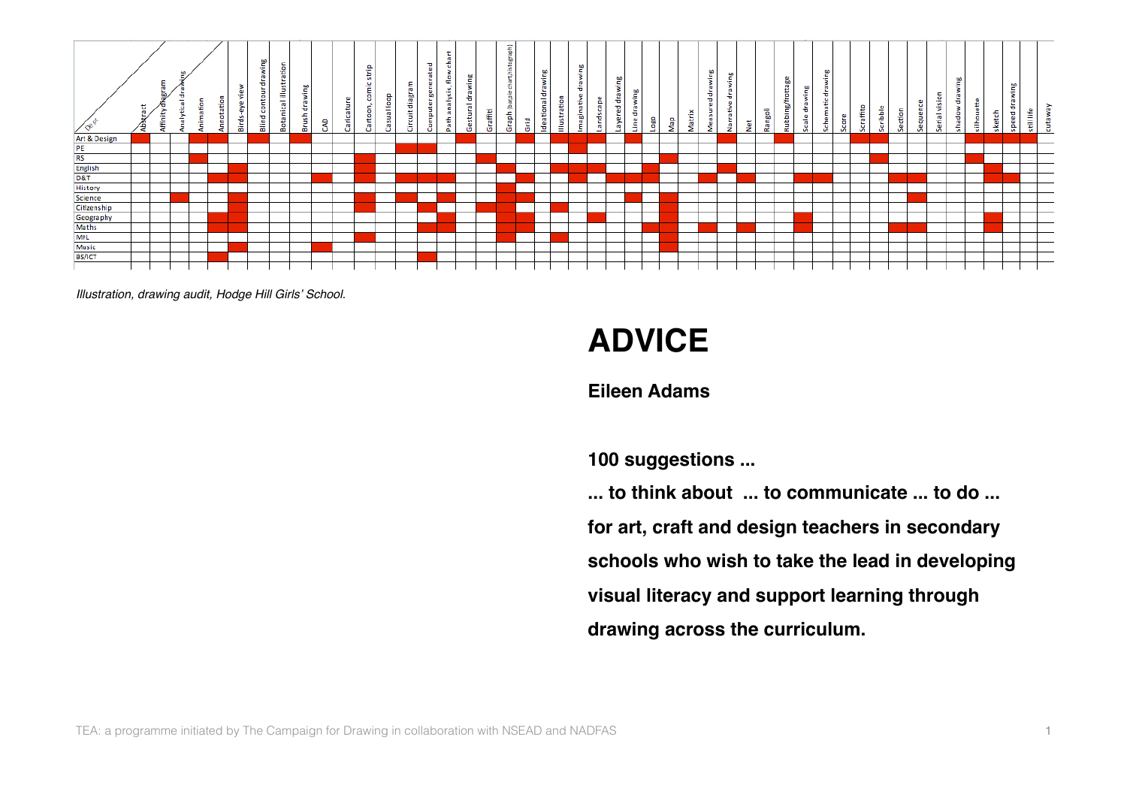

*Illustration, drawing audit, Hodge Hill Girls*' *School.*

# **ADVICE**

## **Eileen Adams**

**100 suggestions ...**

**... to think about ... to communicate ... to do ... for art, craft and design teachers in secondary schools who wish to take the lead in developing visual literacy and support learning through drawing across the curriculum.**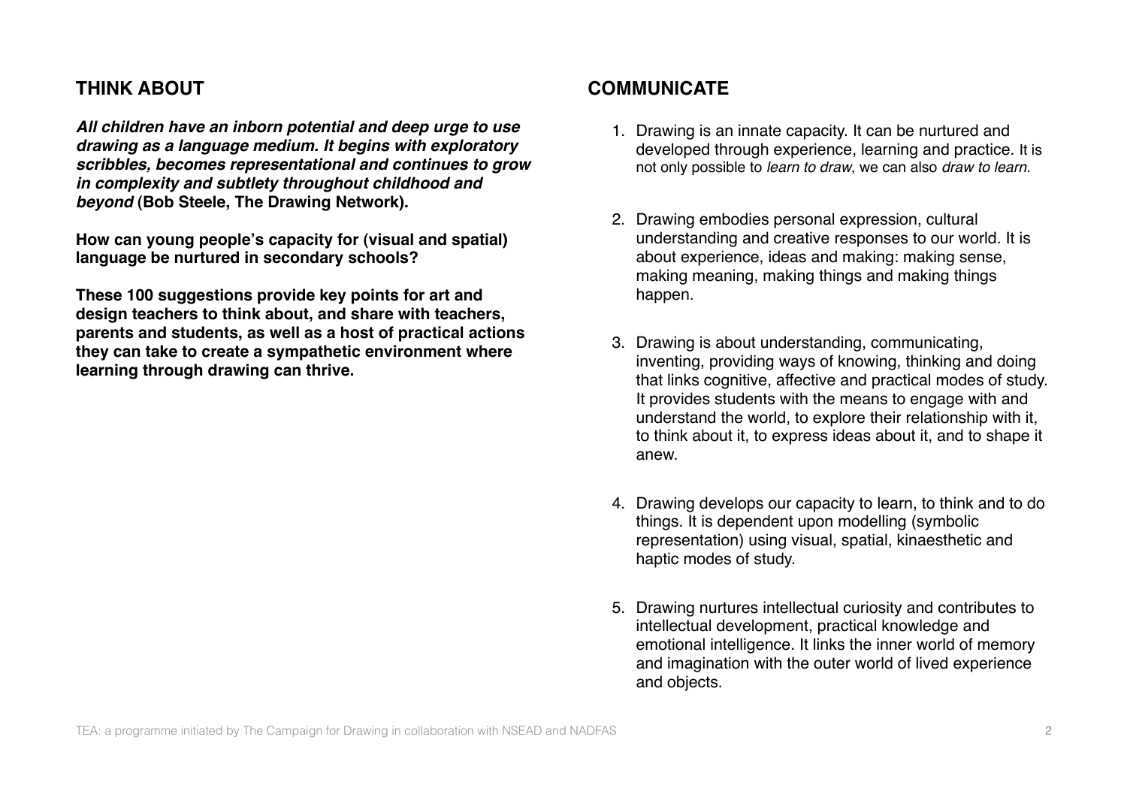## **THINK ABOUT**

*All children have an inborn potential and deep urge to use drawing as a language medium. It begins with exploratory scribbles, becomes representational and continues to grow in complexity and subtlety throughout childhood and beyond* **(Bob Steele, The Drawing Network).**

**How can young people's capacity for (visual and spatial) language be nurtured in secondary schools?** 

**These 100 suggestions provide key points for art and design teachers to think about, and share with teachers, parents and students, as well as a host of practical actions they can take to create a sympathetic environment where learning through drawing can thrive.**

## **COMMUNICATE**

- 1. Drawing is an innate capacity. It can be nurtured and developed through experience, learning and practice. It is not only possible to *learn to draw*, we can also *draw to learn.*
- 2. Drawing embodies personal expression, cultural understanding and creative responses to our world. It is about experience, ideas and making: making sense, making meaning, making things and making things happen.
- 3. Drawing is about understanding, communicating, inventing, providing ways of knowing, thinking and doing that links cognitive, affective and practical modes of study. It provides students with the means to engage with and understand the world, to explore their relationship with it, to think about it, to express ideas about it, and to shape it anew.
- 4. Drawing develops our capacity to learn, to think and to do things. It is dependent upon modelling (symbolic representation) using visual, spatial, kinaesthetic and haptic modes of study.
- 5. Drawing nurtures intellectual curiosity and contributes to intellectual development, practical knowledge and emotional intelligence. It links the inner world of memory and imagination with the outer world of lived experience and objects.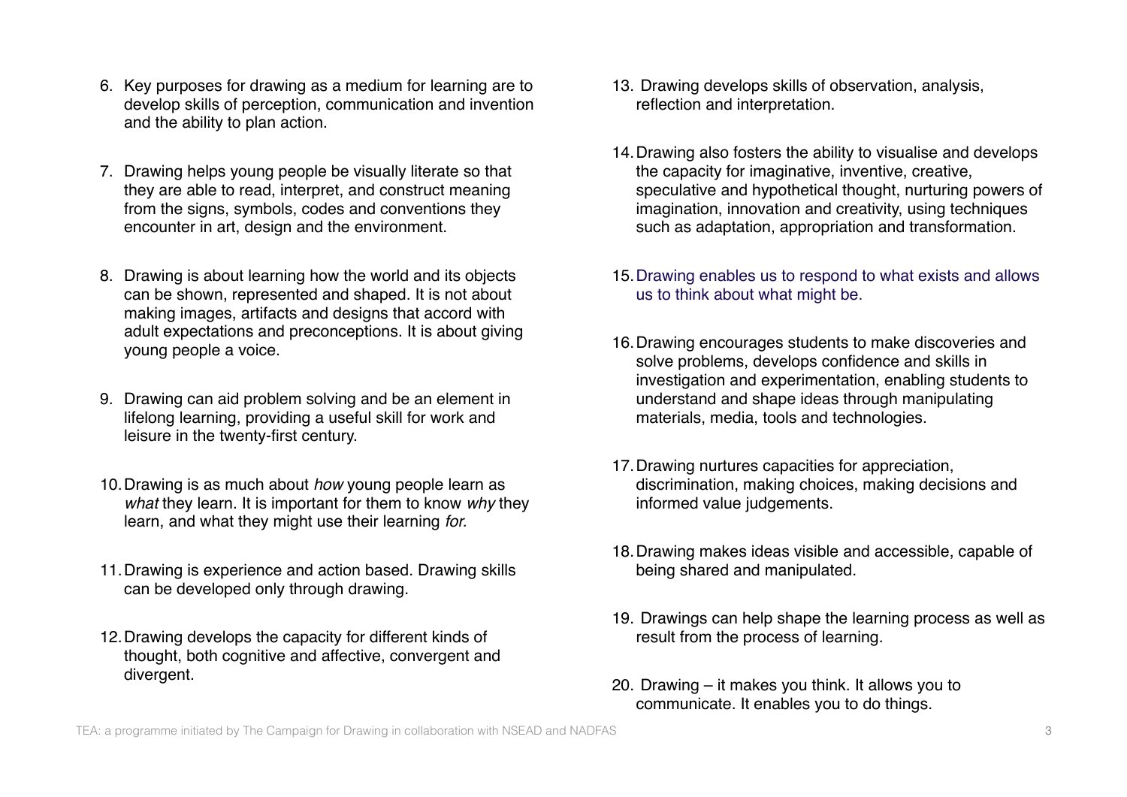- 6. Key purposes for drawing as a medium for learning are to develop skills of perception, communication and invention and the ability to plan action.
- 7. Drawing helps young people be visually literate so that they are able to read, interpret, and construct meaning from the signs, symbols, codes and conventions they encounter in art, design and the environment.
- 8. Drawing is about learning how the world and its objects can be shown, represented and shaped. It is not about making images, artifacts and designs that accord with adult expectations and preconceptions. It is about giving young people a voice.
- 9. Drawing can aid problem solving and be an element in lifelong learning, providing a useful skill for work and leisure in the twenty-first century.
- 10.Drawing is as much about *how* young people learn as *what* they learn. It is important for them to know *why* they learn, and what they might use their learning *for.*
- 11.Drawing is experience and action based. Drawing skills can be developed only through drawing.
- 12.Drawing develops the capacity for different kinds of thought, both cognitive and affective, convergent and divergent.
- 13. Drawing develops skills of observation, analysis, reflection and interpretation.
- 14.Drawing also fosters the ability to visualise and develops the capacity for imaginative, inventive, creative, speculative and hypothetical thought, nurturing powers of imagination, innovation and creativity, using techniques such as adaptation, appropriation and transformation.
- 15.Drawing enables us to respond to what exists and allows us to think about what might be.
- 16.Drawing encourages students to make discoveries and solve problems, develops confidence and skills in investigation and experimentation, enabling students to understand and shape ideas through manipulating materials, media, tools and technologies.
- 17.Drawing nurtures capacities for appreciation, discrimination, making choices, making decisions and informed value judgements.
- 18.Drawing makes ideas visible and accessible, capable of being shared and manipulated.
- 19. Drawings can help shape the learning process as well as result from the process of learning.
- 20. Drawing it makes you think. It allows you to communicate. It enables you to do things.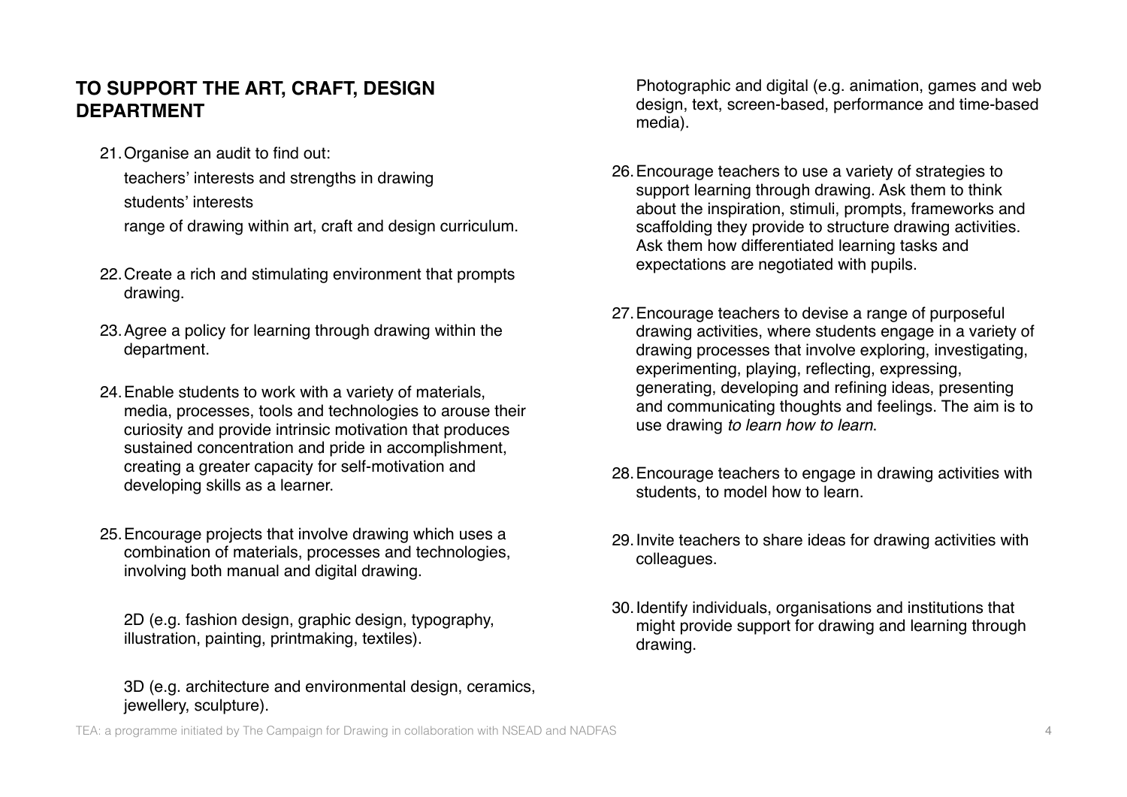# **TO SUPPORT THE ART, CRAFT, DESIGN DEPARTMENT**

21.Organise an audit to find out:

teachers' interests and strengths in drawing students' interests range of drawing within art, craft and design curriculum.

- 22.Create a rich and stimulating environment that prompts drawing.
- 23.Agree a policy for learning through drawing within the department.
- 24.Enable students to work with a variety of materials, media, processes, tools and technologies to arouse their curiosity and provide intrinsic motivation that produces sustained concentration and pride in accomplishment, creating a greater capacity for self-motivation and developing skills as a learner.
- 25.Encourage projects that involve drawing which uses a combination of materials, processes and technologies, involving both manual and digital drawing.

2D (e.g. fashion design, graphic design, typography, illustration, painting, printmaking, textiles).

#### 3D (e.g. architecture and environmental design, ceramics, iewellery, sculpture).

Photographic and digital (e.g. animation, games and web design, text, screen-based, performance and time-based media).

- 26.Encourage teachers to use a variety of strategies to support learning through drawing. Ask them to think about the inspiration, stimuli, prompts, frameworks and scaffolding they provide to structure drawing activities. Ask them how differentiated learning tasks and expectations are negotiated with pupils.
- 27.Encourage teachers to devise a range of purposeful drawing activities, where students engage in a variety of drawing processes that involve exploring, investigating, experimenting, playing, reflecting, expressing, generating, developing and refining ideas, presenting and communicating thoughts and feelings. The aim is to use drawing *to learn how to learn*.
- 28.Encourage teachers to engage in drawing activities with students, to model how to learn.
- 29.Invite teachers to share ideas for drawing activities with colleagues.
- 30.Identify individuals, organisations and institutions that might provide support for drawing and learning through drawing.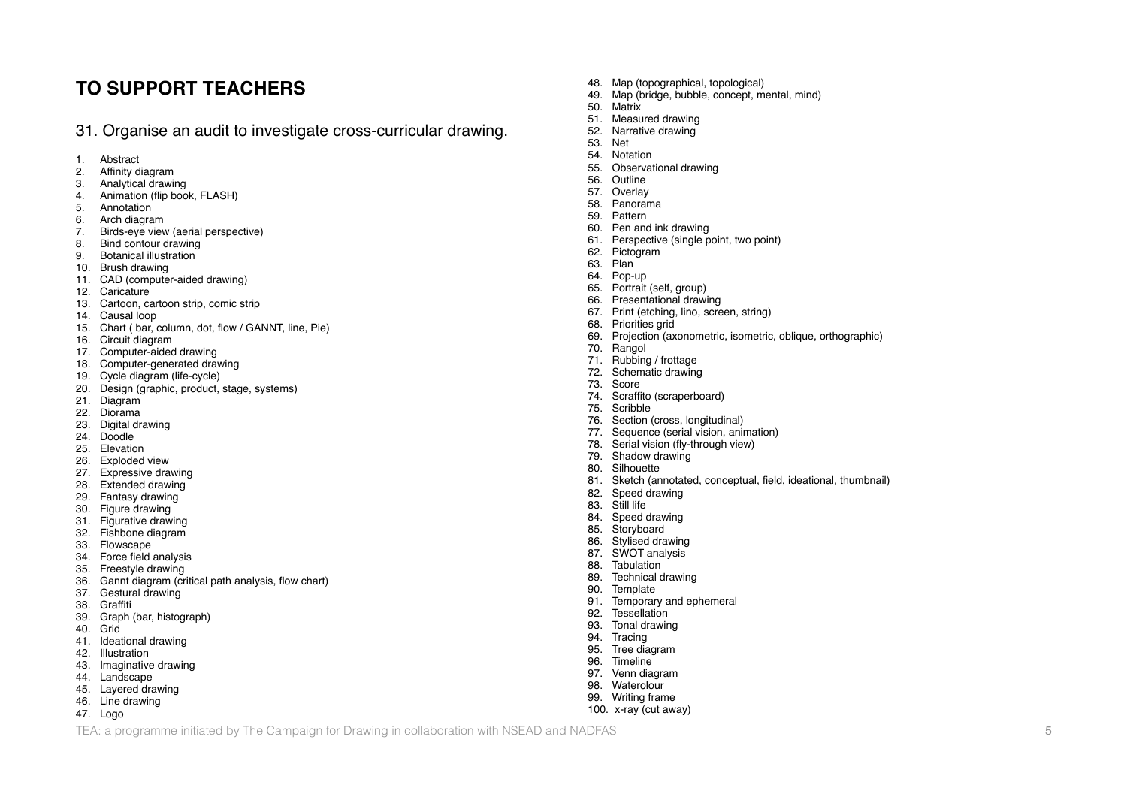### **TO SUPPORT TEACHERS**

31. Organise an audit to investigate cross-curricular drawing.

- 1. Abstract<br>2. Affinity d
- Affinity diagram
- 3. Analytical drawing
- 4. Animation (flip book, FLASH)
- 5. Annotation
- 6. Arch diagram
- Birds-eye view (aerial perspective)
- 8. Bind contour drawing<br>9. Botanical illustration
- **Botanical illustration**
- 10. Brush drawing
- 11. CAD (computer-aided drawing)
- 12. Caricature
- 13. Cartoon, cartoon strip, comic strip
- 14. Causal loop
- 15. Chart ( bar, column, dot, flow / GANNT, line, Pie)
- 16. Circuit diagram
- 17. Computer-aided drawing
- 18. Computer-generated drawing
- 19. Cycle diagram (life-cycle)
- 20. Design (graphic, product, stage, systems)
- 21. Diagram<br>22. Diorama
- 22. Diorama<br>23. Digital dr
- Digital drawing
- 24. Doodle
- 25. Elevation
- 26. Exploded view
- 27. Expressive drawing
- 28. Extended drawing
- 29. Fantasy drawing
- 30. Figure drawing 31. Figurative drawing
- 32. Fishbone diagram
- 33. Flowscape
- 34. Force field analysis
- 35. Freestyle drawing
- 
- 36. Gannt diagram (critical path analysis, flow chart)
- 37. Gestural drawing
- 38. Graffiti
- Graph (bar, histograph)
- 40. Grid
- 41. Ideational drawing
- 42. Illustration
- 43. Imaginative drawing
- 44. Landscape
- 45. Layered drawing 46. Line drawing
- 
- 47. Logo
- 48. Map (topographical, topological)<br>49. Map (bridge, bubble, concept, m
- 49. Map (bridge, bubble, concept, mental, mind)
- 50. Matrix
- 51. Measured drawing<br>52. Narrative drawing
- 52. Narrative drawing<br>53 Net
- 53. Net
- 54. Notation<br>55. Observat
- Observational drawing
- 56. Outline
- 57. Overlay
- 58. Panorama
- 59. Pattern
- 60. Pen and ink drawing
- 61. Perspective (single point, two point)
- 62. Pictogram<br>63. Plan
- Plan
- 64. Pop-up
- 65. Portrait (self, group)
- 66. Presentational drawing
- 67. Print (etching, lino, screen, string)
- 68. Priorities grid<br>69. Projection (ax
- 69. Projection (axonometric, isometric, oblique, orthographic)
- 70. Rangol
- 71. Rubbing / frottage
- 72. Schematic drawing
- Score
- 74. Scraffito (scraperboard)<br>75. Scribble
- 75. Scribble<br>76. Section
- Section (cross, longitudinal)
- 77. Sequence (serial vision, animation)
- 78. Serial vision (fly-through view)
- 79. Shadow drawing
- 80. Silhouette
- 81. Sketch (annotated, conceptual, field, ideational, thumbnail)
- 82. Speed drawing<br>83. Still life
- 83. Still life<br>84. Speed
- Speed drawing
- 85. Storyboard
- 86. Stylised drawing
- 87. SWOT analysis
- 88. Tabulation
- 89. Technical drawing
- 90. Template<br>91. Temporar
- 91. Temporary and ephemeral<br>92. Tessellation
- **Tessellation**
- 93. Tonal drawing
- 94. Tracing
- 95. Tree diagram
- 96. Timeline<br>97. Venn dia
- 97. Venn diagram<br>98. Waterolour 99. Writing frame

100. x-ray (cut away)

Waterolour

TEA: a programme initiated by The Campaign for Drawing in collaboration with NSEAD and NADFAS 5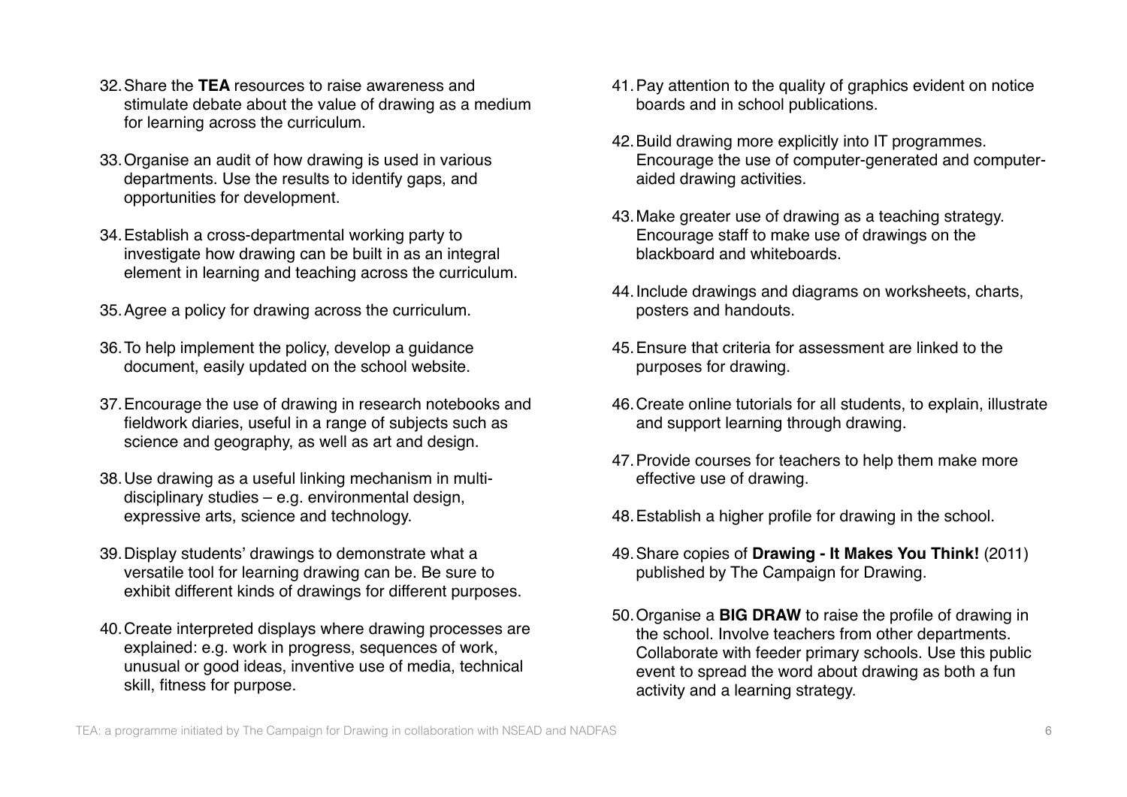- 32.Share the **TEA** resources to raise awareness and stimulate debate about the value of drawing as a medium for learning across the curriculum.
- 33.Organise an audit of how drawing is used in various departments. Use the results to identify gaps, and opportunities for development.
- 34.Establish a cross-departmental working party to investigate how drawing can be built in as an integral element in learning and teaching across the curriculum.
- 35.Agree a policy for drawing across the curriculum.
- 36.To help implement the policy, develop a guidance document, easily updated on the school website.
- 37.Encourage the use of drawing in research notebooks and fieldwork diaries, useful in a range of subjects such as science and geography, as well as art and design.
- 38.Use drawing as a useful linking mechanism in multidisciplinary studies – e.g. environmental design, expressive arts, science and technology.
- 39.Display students' drawings to demonstrate what a versatile tool for learning drawing can be. Be sure to exhibit different kinds of drawings for different purposes.
- 40.Create interpreted displays where drawing processes are explained: e.g. work in progress, sequences of work, unusual or good ideas, inventive use of media, technical skill, fitness for purpose.
- 41.Pay attention to the quality of graphics evident on notice boards and in school publications.
- 42.Build drawing more explicitly into IT programmes. Encourage the use of computer-generated and computeraided drawing activities.
- 43.Make greater use of drawing as a teaching strategy. Encourage staff to make use of drawings on the blackboard and whiteboards.
- 44.Include drawings and diagrams on worksheets, charts, posters and handouts.
- 45.Ensure that criteria for assessment are linked to the purposes for drawing.
- 46.Create online tutorials for all students, to explain, illustrate and support learning through drawing.
- 47.Provide courses for teachers to help them make more effective use of drawing.
- 48.Establish a higher profile for drawing in the school.
- 49.Share copies of **Drawing It Makes You Think!** (2011) published by The Campaign for Drawing.
- 50.Organise a **BIG DRAW** to raise the profile of drawing in the school. Involve teachers from other departments. Collaborate with feeder primary schools. Use this public event to spread the word about drawing as both a fun activity and a learning strategy.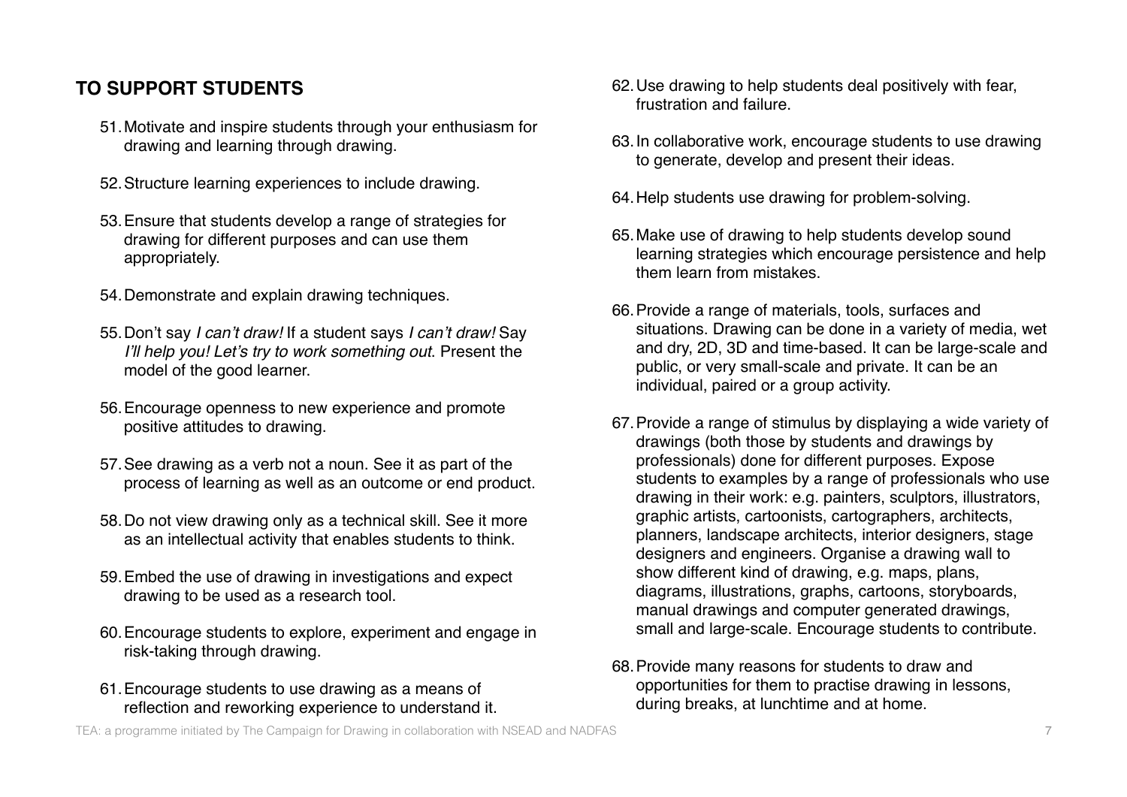# **TO SUPPORT STUDENTS**

- 51.Motivate and inspire students through your enthusiasm for drawing and learning through drawing.
- 52.Structure learning experiences to include drawing.
- 53.Ensure that students develop a range of strategies for drawing for different purposes and can use them appropriately.
- 54.Demonstrate and explain drawing techniques.
- 55.Don't say *I can*'*t draw!* If a student says *I can*'*t draw!* Say *I*'*ll help you! Let*'*s try to work something out*. Present the model of the good learner.
- 56.Encourage openness to new experience and promote positive attitudes to drawing.
- 57.See drawing as a verb not a noun. See it as part of the process of learning as well as an outcome or end product.
- 58.Do not view drawing only as a technical skill. See it more as an intellectual activity that enables students to think.
- 59.Embed the use of drawing in investigations and expect drawing to be used as a research tool.
- 60.Encourage students to explore, experiment and engage in risk-taking through drawing.
- 61.Encourage students to use drawing as a means of reflection and reworking experience to understand it.
- 62.Use drawing to help students deal positively with fear, frustration and failure.
- 63.In collaborative work, encourage students to use drawing to generate, develop and present their ideas.
- 64.Help students use drawing for problem-solving.
- 65.Make use of drawing to help students develop sound learning strategies which encourage persistence and help them learn from mistakes.
- 66.Provide a range of materials, tools, surfaces and situations. Drawing can be done in a variety of media, wet and dry, 2D, 3D and time-based. It can be large-scale and public, or very small-scale and private. It can be an individual, paired or a group activity.
- 67.Provide a range of stimulus by displaying a wide variety of drawings (both those by students and drawings by professionals) done for different purposes. Expose students to examples by a range of professionals who use drawing in their work: e.g. painters, sculptors, illustrators, graphic artists, cartoonists, cartographers, architects, planners, landscape architects, interior designers, stage designers and engineers. Organise a drawing wall to show different kind of drawing, e.g. maps, plans, diagrams, illustrations, graphs, cartoons, storyboards, manual drawings and computer generated drawings, small and large-scale. Encourage students to contribute.
- 68.Provide many reasons for students to draw and opportunities for them to practise drawing in lessons, during breaks, at lunchtime and at home.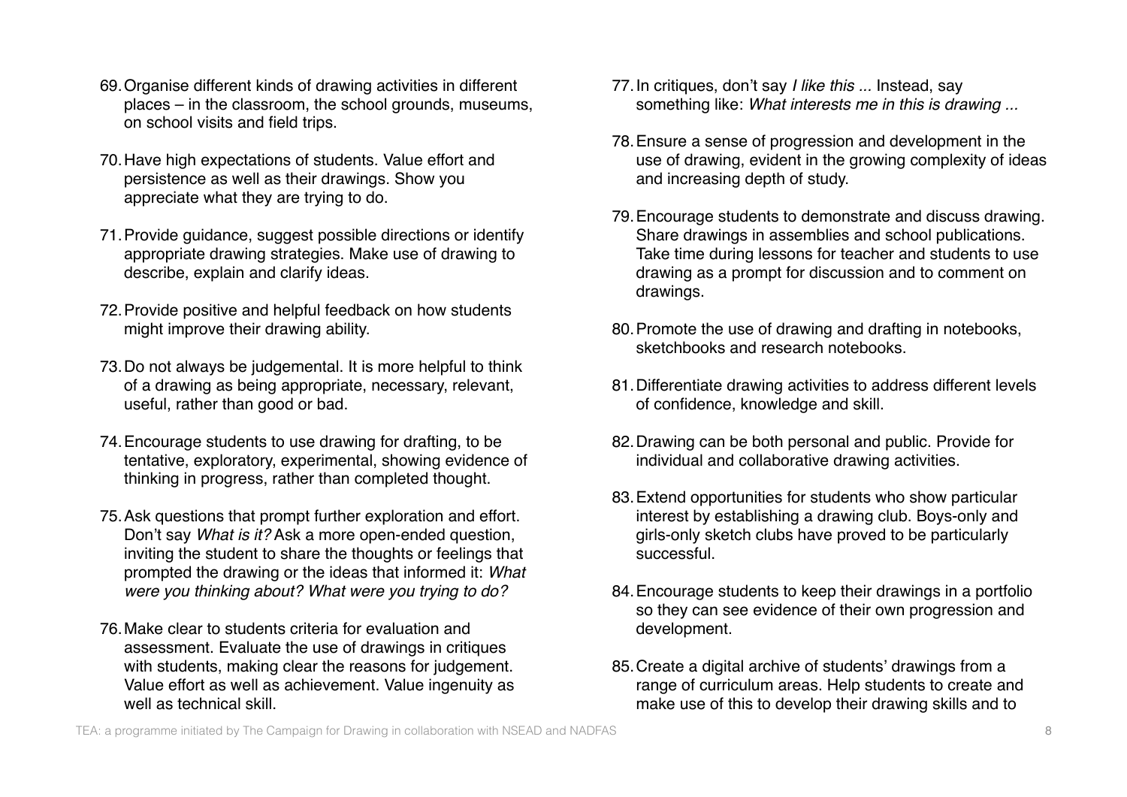- 69.Organise different kinds of drawing activities in different places – in the classroom, the school grounds, museums, on school visits and field trips.
- 70.Have high expectations of students. Value effort and persistence as well as their drawings. Show you appreciate what they are trying to do.
- 71.Provide guidance, suggest possible directions or identify appropriate drawing strategies. Make use of drawing to describe, explain and clarify ideas.
- 72.Provide positive and helpful feedback on how students might improve their drawing ability.
- 73.Do not always be judgemental. It is more helpful to think of a drawing as being appropriate, necessary, relevant, useful, rather than good or bad.
- 74.Encourage students to use drawing for drafting, to be tentative, exploratory, experimental, showing evidence of thinking in progress, rather than completed thought.
- 75.Ask questions that prompt further exploration and effort. Don't say *What is it?* Ask a more open-ended question, inviting the student to share the thoughts or feelings that prompted the drawing or the ideas that informed it: *What were you thinking about? What were you trying to do?*
- 76.Make clear to students criteria for evaluation and assessment. Evaluate the use of drawings in critiques with students, making clear the reasons for judgement. Value effort as well as achievement. Value ingenuity as well as technical skill.
- 77.In critiques, don't say *I like this ...* Instead, say something like: *What interests me in this is drawing ...*
- 78.Ensure a sense of progression and development in the use of drawing, evident in the growing complexity of ideas and increasing depth of study.
- 79.Encourage students to demonstrate and discuss drawing. Share drawings in assemblies and school publications. Take time during lessons for teacher and students to use drawing as a prompt for discussion and to comment on drawings.
- 80.Promote the use of drawing and drafting in notebooks, sketchbooks and research notebooks.
- 81.Differentiate drawing activities to address different levels of confidence, knowledge and skill.
- 82.Drawing can be both personal and public. Provide for individual and collaborative drawing activities.
- 83.Extend opportunities for students who show particular interest by establishing a drawing club. Boys-only and girls-only sketch clubs have proved to be particularly successful.
- 84.Encourage students to keep their drawings in a portfolio so they can see evidence of their own progression and development.
- 85.Create a digital archive of students' drawings from a range of curriculum areas. Help students to create and make use of this to develop their drawing skills and to